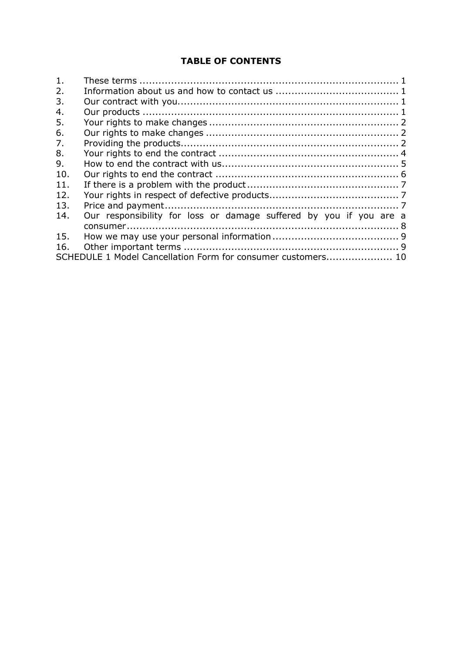# **TABLE OF CONTENTS**

| $\mathbf{1}$ . |                                                                    |  |
|----------------|--------------------------------------------------------------------|--|
| 2.             |                                                                    |  |
| 3.             |                                                                    |  |
| 4.             |                                                                    |  |
| 5.             |                                                                    |  |
| 6.             |                                                                    |  |
| 7.             |                                                                    |  |
| 8.             |                                                                    |  |
| 9.             |                                                                    |  |
| 10.            |                                                                    |  |
| 11.            |                                                                    |  |
| 12.            |                                                                    |  |
| 13.            |                                                                    |  |
| 14.            | Our responsibility for loss or damage suffered by you if you are a |  |
|                |                                                                    |  |
| 15.            |                                                                    |  |
| 16.            |                                                                    |  |
|                | SCHEDULE 1 Model Cancellation Form for consumer customers 10       |  |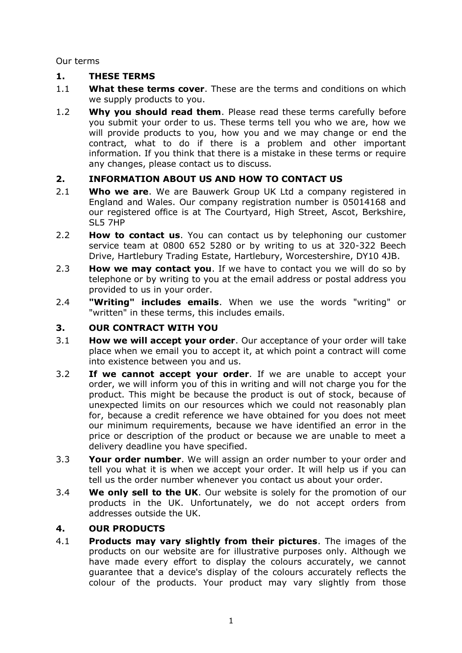Our terms

## <span id="page-1-0"></span>**1. THESE TERMS**

- 1.1 **What these terms cover**. These are the terms and conditions on which we supply products to you.
- 1.2 **Why you should read them**. Please read these terms carefully before you submit your order to us. These terms tell you who we are, how we will provide products to you, how you and we may change or end the contract, what to do if there is a problem and other important information. If you think that there is a mistake in these terms or require any changes, please contact us to discuss.

## <span id="page-1-1"></span>**2. INFORMATION ABOUT US AND HOW TO CONTACT US**

- 2.1 **Who we are**. We are Bauwerk Group UK Ltd a company registered in England and Wales. Our company registration number is 05014168 and our registered office is at The Courtyard, High Street, Ascot, Berkshire, SL5 7HP
- 2.2 **How to contact us**. You can contact us by telephoning our customer service team at 0800 652 5280 or by writing to us at 320-322 Beech Drive, Hartlebury Trading Estate, Hartlebury, Worcestershire, DY10 4JB.
- 2.3 **How we may contact you**. If we have to contact you we will do so by telephone or by writing to you at the email address or postal address you provided to us in your order.
- 2.4 **"Writing" includes emails**. When we use the words "writing" or "written" in these terms, this includes emails.

## <span id="page-1-2"></span>**3. OUR CONTRACT WITH YOU**

- 3.1 **How we will accept your order**. Our acceptance of your order will take place when we email you to accept it, at which point a contract will come into existence between you and us.
- 3.2 **If we cannot accept your order**. If we are unable to accept your order, we will inform you of this in writing and will not charge you for the product. This might be because the product is out of stock, because of unexpected limits on our resources which we could not reasonably plan for, because a credit reference we have obtained for you does not meet our minimum requirements, because we have identified an error in the price or description of the product or because we are unable to meet a delivery deadline you have specified.
- 3.3 **Your order number**. We will assign an order number to your order and tell you what it is when we accept your order. It will help us if you can tell us the order number whenever you contact us about your order.
- 3.4 **We only sell to the UK**. Our website is solely for the promotion of our products in the UK. Unfortunately, we do not accept orders from addresses outside the UK.

## <span id="page-1-3"></span>**4. OUR PRODUCTS**

4.1 **Products may vary slightly from their pictures**. The images of the products on our website are for illustrative purposes only. Although we have made every effort to display the colours accurately, we cannot guarantee that a device's display of the colours accurately reflects the colour of the products. Your product may vary slightly from those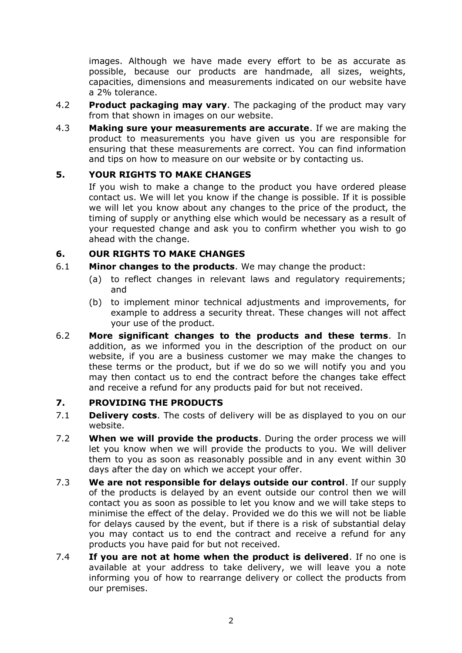images. Although we have made every effort to be as accurate as possible, because our products are handmade, all sizes, weights, capacities, dimensions and measurements indicated on our website have a 2% tolerance.

- 4.2 **Product packaging may vary**. The packaging of the product may vary from that shown in images on our website.
- 4.3 **Making sure your measurements are accurate**. If we are making the product to measurements you have given us you are responsible for ensuring that these measurements are correct. You can find information and tips on how to measure on our website or by contacting us.

#### <span id="page-2-0"></span>**5. YOUR RIGHTS TO MAKE CHANGES**

If you wish to make a change to the product you have ordered please contact us. We will let you know if the change is possible. If it is possible we will let you know about any changes to the price of the product, the timing of supply or anything else which would be necessary as a result of your requested change and ask you to confirm whether you wish to go ahead with the change.

#### <span id="page-2-1"></span>**6. OUR RIGHTS TO MAKE CHANGES**

- 6.1 **Minor changes to the products**. We may change the product:
	- (a) to reflect changes in relevant laws and regulatory requirements; and
	- (b) to implement minor technical adjustments and improvements, for example to address a security threat. These changes will not affect your use of the product.
- <span id="page-2-3"></span>6.2 **More significant changes to the products and these terms**. In addition, as we informed you in the description of the product on our website, if you are a business customer we may make the changes to these terms or the product, but if we do so we will notify you and you may then contact us to end the contract before the changes take effect and receive a refund for any products paid for but not received.

#### <span id="page-2-2"></span>**7. PROVIDING THE PRODUCTS**

- 7.1 **Delivery costs**. The costs of delivery will be as displayed to you on our website.
- 7.2 **When we will provide the products**. During the order process we will let you know when we will provide the products to you. We will deliver them to you as soon as reasonably possible and in any event within 30 days after the day on which we accept your offer.
- 7.3 **We are not responsible for delays outside our control**. If our supply of the products is delayed by an event outside our control then we will contact you as soon as possible to let you know and we will take steps to minimise the effect of the delay. Provided we do this we will not be liable for delays caused by the event, but if there is a risk of substantial delay you may contact us to end the contract and receive a refund for any products you have paid for but not received.
- 7.4 **If you are not at home when the product is delivered**. If no one is available at your address to take delivery, we will leave you a note informing you of how to rearrange delivery or collect the products from our premises.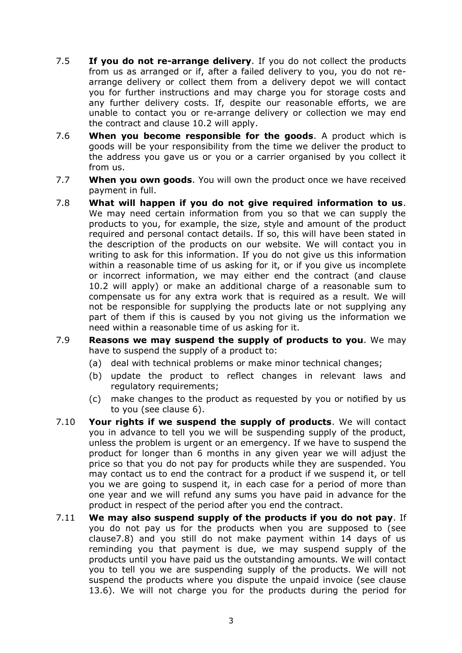- 7.5 **If you do not re-arrange delivery**. If you do not collect the products from us as arranged or if, after a failed delivery to you, you do not rearrange delivery or collect them from a delivery depot we will contact you for further instructions and may charge you for storage costs and any further delivery costs. If, despite our reasonable efforts, we are unable to contact you or re-arrange delivery or collection we may end the contract and clause [10.2](#page-6-1) will apply.
- 7.6 **When you become responsible for the goods**. A product which is goods will be your responsibility from the time we deliver the product to the address you gave us or you or a carrier organised by you collect it from us.
- 7.7 **When you own goods**. You will own the product once we have received payment in full.
- 7.8 **What will happen if you do not give required information to us**. We may need certain information from you so that we can supply the products to you, for example, the size, style and amount of the product required and personal contact details. If so, this will have been stated in the description of the products on our website. We will contact you in writing to ask for this information. If you do not give us this information within a reasonable time of us asking for it, or if you give us incomplete or incorrect information, we may either end the contract (and clause [10.2](#page-6-1) will apply) or make an additional charge of a reasonable sum to compensate us for any extra work that is required as a result. We will not be responsible for supplying the products late or not supplying any part of them if this is caused by you not giving us the information we need within a reasonable time of us asking for it.
- 7.9 **Reasons we may suspend the supply of products to you**. We may have to suspend the supply of a product to:
	- (a) deal with technical problems or make minor technical changes;
	- (b) update the product to reflect changes in relevant laws and regulatory requirements;
	- (c) make changes to the product as requested by you or notified by us to you (see clause [6\)](#page-2-1).
- 7.10 **Your rights if we suspend the supply of products**. We will contact you in advance to tell you we will be suspending supply of the product, unless the problem is urgent or an emergency. If we have to suspend the product for longer than 6 months in any given year we will adjust the price so that you do not pay for products while they are suspended. You may contact us to end the contract for a product if we suspend it, or tell you we are going to suspend it, in each case for a period of more than one year and we will refund any sums you have paid in advance for the product in respect of the period after you end the contract.
- 7.11 **We may also suspend supply of the products if you do not pay**. If you do not pay us for the products when you are supposed to (see clause7.8) and you still do not make payment within 14 days of us reminding you that payment is due, we may suspend supply of the products until you have paid us the outstanding amounts. We will contact you to tell you we are suspending supply of the products. We will not suspend the products where you dispute the unpaid invoice (see clause [13.6\)](#page-8-1). We will not charge you for the products during the period for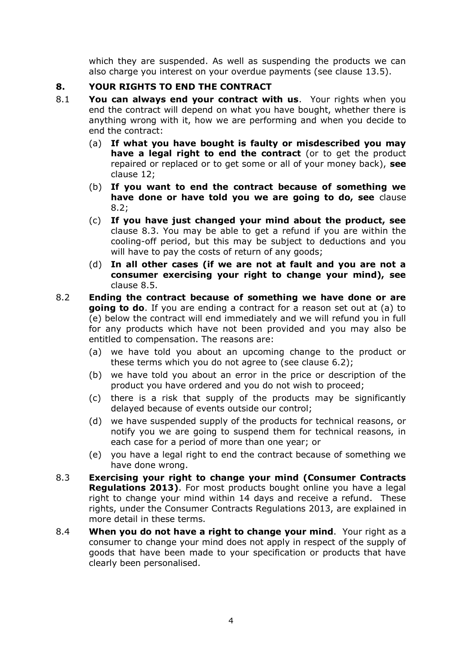which they are suspended. As well as suspending the products we can also charge you interest on your overdue payments (see clause [13.5\)](#page-8-2).

#### <span id="page-4-0"></span>**8. YOUR RIGHTS TO END THE CONTRACT**

- 8.1 **You can always end your contract with us**. Your rights when you end the contract will depend on what you have bought, whether there is anything wrong with it, how we are performing and when you decide to end the contract:
	- (a) **If what you have bought is faulty or misdescribed you may have a legal right to end the contract** (or to get the product repaired or replaced or to get some or all of your money back), **see**  clause 12;
	- (b) **If you want to end the contract because of something we have done or have told you we are going to do, see** clause [8.2;](#page-4-1)
	- (c) **If you have just changed your mind about the product, see**  clause [8.3.](#page-4-2) You may be able to get a refund if you are within the cooling-off period, but this may be subject to deductions and you will have to pay the costs of return of any goods;
	- (d) **In all other cases (if we are not at fault and you are not a consumer exercising your right to change your mind), see**  clause 8.5.
- <span id="page-4-1"></span>8.2 **Ending the contract because of something we have done or are going to do**. If you are ending a contract for a reason set out at (a) to (e) below the contract will end immediately and we will refund you in full for any products which have not been provided and you may also be entitled to compensation. The reasons are:
	- (a) we have told you about an upcoming change to the product or these terms which you do not agree to (see clause [6.2\)](#page-2-3);
	- (b) we have told you about an error in the price or description of the product you have ordered and you do not wish to proceed;
	- (c) there is a risk that supply of the products may be significantly delayed because of events outside our control;
	- (d) we have suspended supply of the products for technical reasons, or notify you we are going to suspend them for technical reasons, in each case for a period of more than one year; or
	- (e) you have a legal right to end the contract because of something we have done wrong.
- <span id="page-4-2"></span>8.3 **Exercising your right to change your mind (Consumer Contracts Regulations 2013).** For most products bought online you have a legal right to change your mind within 14 days and receive a refund. These rights, under the Consumer Contracts Regulations 2013, are explained in more detail in these terms.
- 8.4 **When you do not have a right to change your mind**. Your right as a consumer to change your mind does not apply in respect of the supply of goods that have been made to your specification or products that have clearly been personalised.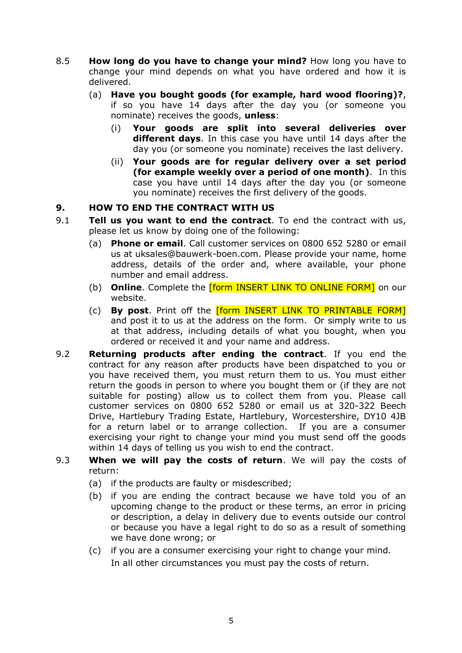- 8.5 **How long do you have to change your mind?** How long you have to change your mind depends on what you have ordered and how it is delivered.
	- (a) **Have you bought goods (for example, hard wood flooring)?**, if so you have 14 days after the day you (or someone you nominate) receives the goods, **unless**:
		- (i) **Your goods are split into several deliveries over different days**. In this case you have until 14 days after the day you (or someone you nominate) receives the last delivery.
		- (ii) **Your goods are for regular delivery over a set period (for example weekly over a period of one month)**. In this case you have until 14 days after the day you (or someone you nominate) receives the first delivery of the goods.

#### <span id="page-5-0"></span>**9. HOW TO END THE CONTRACT WITH US**

- 9.1 **Tell us you want to end the contract**. To end the contract with us, please let us know by doing one of the following:
	- (a) **Phone or email**. Call customer services on 0800 652 5280 or email us at uksales@bauwerk-boen.com. Please provide your name, home address, details of the order and, where available, your phone number and email address.
	- (b) **Online**. Complete the [form INSERT LINK TO ONLINE FORM] on our website.
	- (c) **By post**. Print off the [form INSERT LINK TO PRINTABLE FORM] and post it to us at the address on the form. Or simply write to us at that address, including details of what you bought, when you ordered or received it and your name and address.
- <span id="page-5-1"></span>9.2 **Returning products after ending the contract**. If you end the contract for any reason after products have been dispatched to you or you have received them, you must return them to us. You must either return the goods in person to where you bought them or (if they are not suitable for posting) allow us to collect them from you. Please call customer services on 0800 652 5280 or email us at 320-322 Beech Drive, Hartlebury Trading Estate, Hartlebury, Worcestershire, DY10 4JB for a return label or to arrange collection. If you are a consumer exercising your right to change your mind you must send off the goods within 14 days of telling us you wish to end the contract.
- 9.3 **When we will pay the costs of return**. We will pay the costs of return:
	- (a) if the products are faulty or misdescribed;
	- (b) if you are ending the contract because we have told you of an upcoming change to the product or these terms, an error in pricing or description, a delay in delivery due to events outside our control or because you have a legal right to do so as a result of something we have done wrong; or
	- (c) if you are a consumer exercising your right to change your mind. In all other circumstances you must pay the costs of return.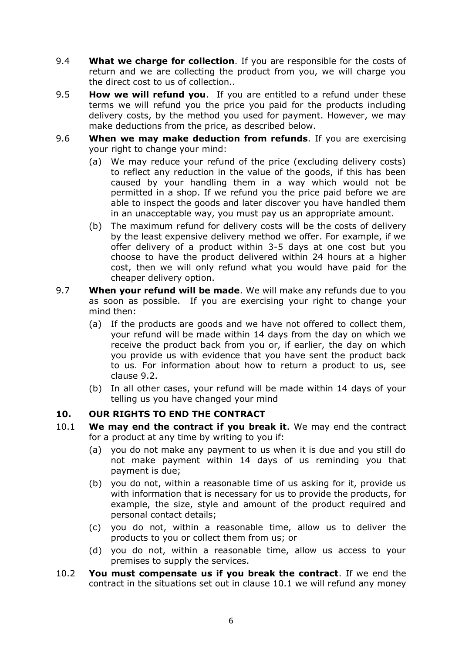- 9.4 **What we charge for collection**. If you are responsible for the costs of return and we are collecting the product from you, we will charge you the direct cost to us of collection..
- 9.5 **How we will refund you**. If you are entitled to a refund under these terms we will refund you the price you paid for the products including delivery costs, by the method you used for payment. However, we may make deductions from the price, as described below.
- 9.6 **When we may make deduction from refunds**. If you are exercising your right to change your mind:
	- (a) We may reduce your refund of the price (excluding delivery costs) to reflect any reduction in the value of the goods, if this has been caused by your handling them in a way which would not be permitted in a shop. If we refund you the price paid before we are able to inspect the goods and later discover you have handled them in an unacceptable way, you must pay us an appropriate amount.
	- (b) The maximum refund for delivery costs will be the costs of delivery by the least expensive delivery method we offer. For example, if we offer delivery of a product within 3-5 days at one cost but you choose to have the product delivered within 24 hours at a higher cost, then we will only refund what you would have paid for the cheaper delivery option.
- 9.7 **When your refund will be made**. We will make any refunds due to you as soon as possible. If you are exercising your right to change your mind then:
	- (a) If the products are goods and we have not offered to collect them, your refund will be made within 14 days from the day on which we receive the product back from you or, if earlier, the day on which you provide us with evidence that you have sent the product back to us. For information about how to return a product to us, see clause [9.2.](#page-5-1)
	- (b) In all other cases, your refund will be made within 14 days of your telling us you have changed your mind

## <span id="page-6-0"></span>**10. OUR RIGHTS TO END THE CONTRACT**

- <span id="page-6-2"></span>10.1 **We may end the contract if you break it**. We may end the contract for a product at any time by writing to you if:
	- (a) you do not make any payment to us when it is due and you still do not make payment within 14 days of us reminding you that payment is due;
	- (b) you do not, within a reasonable time of us asking for it, provide us with information that is necessary for us to provide the products, for example, the size, style and amount of the product required and personal contact details;
	- (c) you do not, within a reasonable time, allow us to deliver the products to you or collect them from us; or
	- (d) you do not, within a reasonable time, allow us access to your premises to supply the services.
- <span id="page-6-1"></span>10.2 **You must compensate us if you break the contract**. If we end the contract in the situations set out in clause [10.1](#page-6-2) we will refund any money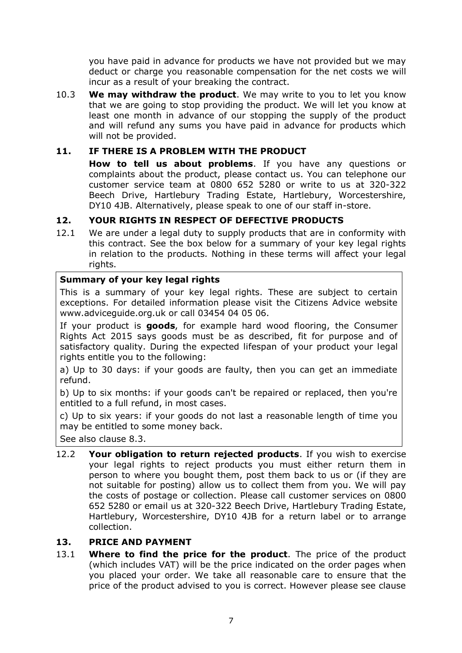you have paid in advance for products we have not provided but we may deduct or charge you reasonable compensation for the net costs we will incur as a result of your breaking the contract.

10.3 **We may withdraw the product**. We may write to you to let you know that we are going to stop providing the product. We will let you know at least one month in advance of our stopping the supply of the product and will refund any sums you have paid in advance for products which will not be provided.

#### <span id="page-7-0"></span>**11. IF THERE IS A PROBLEM WITH THE PRODUCT**

**How to tell us about problems**. If you have any questions or complaints about the product, please contact us. You can telephone our customer service team at 0800 652 5280 or write to us at 320-322 Beech Drive, Hartlebury Trading Estate, Hartlebury, Worcestershire, DY10 4JB. Alternatively, please speak to one of our staff in-store.

#### <span id="page-7-1"></span>**12. YOUR RIGHTS IN RESPECT OF DEFECTIVE PRODUCTS**

<span id="page-7-3"></span>12.1 We are under a legal duty to supply products that are in conformity with this contract. See the box below for a summary of your key legal rights in relation to the products. Nothing in these terms will affect your legal rights.

#### **Summary of your key legal rights**

This is a summary of your key legal rights. These are subject to certain exceptions. For detailed information please visit the Citizens Advice website www.adviceguide.org.uk or call 03454 04 05 06.

If your product is **goods**, for example hard wood flooring, the Consumer Rights Act 2015 says goods must be as described, fit for purpose and of satisfactory quality. During the expected lifespan of your product your legal rights entitle you to the following:

a) Up to 30 days: if your goods are faulty, then you can get an immediate refund.

b) Up to six months: if your goods can't be repaired or replaced, then you're entitled to a full refund, in most cases.

c) Up to six years: if your goods do not last a reasonable length of time you may be entitled to some money back.

See also clause [8.3.](#page-4-2)

12.2 **Your obligation to return rejected products**. If you wish to exercise your legal rights to reject products you must either return them in person to where you bought them, post them back to us or (if they are not suitable for posting) allow us to collect them from you. We will pay the costs of postage or collection. Please call customer services on 0800 652 5280 or email us at 320-322 Beech Drive, Hartlebury Trading Estate, Hartlebury, Worcestershire, DY10 4JB for a return label or to arrange collection.

#### <span id="page-7-2"></span>**13. PRICE AND PAYMENT**

13.1 **Where to find the price for the product**. The price of the product (which includes VAT) will be the price indicated on the order pages when you placed your order. We take all reasonable care to ensure that the price of the product advised to you is correct. However please see clause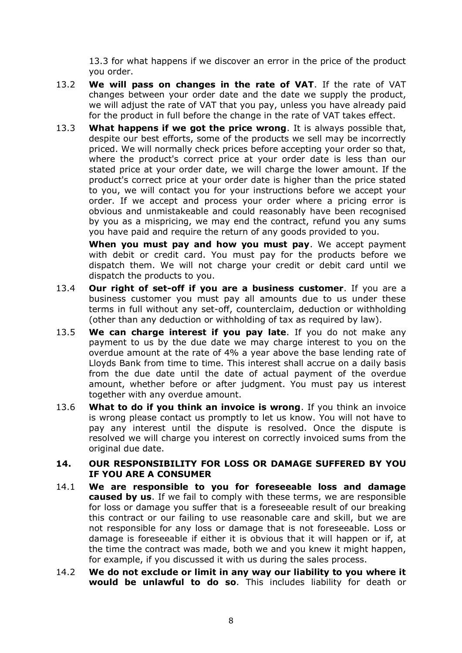[13.3](#page-8-3) for what happens if we discover an error in the price of the product you order.

- 13.2 **We will pass on changes in the rate of VAT**. If the rate of VAT changes between your order date and the date we supply the product, we will adjust the rate of VAT that you pay, unless you have already paid for the product in full before the change in the rate of VAT takes effect.
- <span id="page-8-3"></span>13.3 **What happens if we got the price wrong**. It is always possible that, despite our best efforts, some of the products we sell may be incorrectly priced. We will normally check prices before accepting your order so that, where the product's correct price at your order date is less than our stated price at your order date, we will charge the lower amount. If the product's correct price at your order date is higher than the price stated to you, we will contact you for your instructions before we accept your order. If we accept and process your order where a pricing error is obvious and unmistakeable and could reasonably have been recognised by you as a mispricing, we may end the contract, refund you any sums you have paid and require the return of any goods provided to you.

**When you must pay and how you must pay**. We accept payment with debit or credit card. You must pay for the products before we dispatch them. We will not charge your credit or debit card until we dispatch the products to you.

- 13.4 **Our right of set-off if you are a business customer**. If you are a business customer you must pay all amounts due to us under these terms in full without any set-off, counterclaim, deduction or withholding (other than any deduction or withholding of tax as required by law).
- <span id="page-8-2"></span>13.5 **We can charge interest if you pay late**. If you do not make any payment to us by the due date we may charge interest to you on the overdue amount at the rate of 4% a year above the base lending rate of Lloyds Bank from time to time. This interest shall accrue on a daily basis from the due date until the date of actual payment of the overdue amount, whether before or after judgment. You must pay us interest together with any overdue amount.
- <span id="page-8-1"></span>13.6 **What to do if you think an invoice is wrong**. If you think an invoice is wrong please contact us promptly to let us know. You will not have to pay any interest until the dispute is resolved. Once the dispute is resolved we will charge you interest on correctly invoiced sums from the original due date.

#### <span id="page-8-0"></span>**14. OUR RESPONSIBILITY FOR LOSS OR DAMAGE SUFFERED BY YOU IF YOU ARE A CONSUMER**

- 14.1 **We are responsible to you for foreseeable loss and damage caused by us**. If we fail to comply with these terms, we are responsible for loss or damage you suffer that is a foreseeable result of our breaking this contract or our failing to use reasonable care and skill, but we are not responsible for any loss or damage that is not foreseeable. Loss or damage is foreseeable if either it is obvious that it will happen or if, at the time the contract was made, both we and you knew it might happen, for example, if you discussed it with us during the sales process.
- 14.2 **We do not exclude or limit in any way our liability to you where it would be unlawful to do so**. This includes liability for death or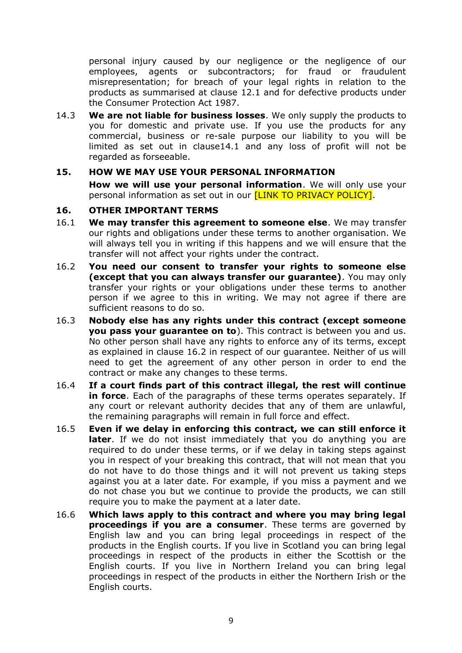personal injury caused by our negligence or the negligence of our employees, agents or subcontractors; for fraud or fraudulent misrepresentation; for breach of your legal rights in relation to the products as summarised at clause [12.1](#page-7-3) and for defective products under the Consumer Protection Act 1987.

14.3 **We are not liable for business losses**. We only supply the products to you for domestic and private use. If you use the products for any commercial, business or re-sale purpose our liability to you will be limited as set out in clause14.1 and any loss of profit will not be regarded as forseeable.

#### <span id="page-9-0"></span>**15. HOW WE MAY USE YOUR PERSONAL INFORMATION**

**How we will use your personal information**. We will only use your personal information as set out in our **[LINK TO PRIVACY POLICY]**.

#### <span id="page-9-1"></span>**16. OTHER IMPORTANT TERMS**

- 16.1 **We may transfer this agreement to someone else**. We may transfer our rights and obligations under these terms to another organisation. We will always tell you in writing if this happens and we will ensure that the transfer will not affect your rights under the contract.
- <span id="page-9-2"></span>16.2 **You need our consent to transfer your rights to someone else (except that you can always transfer our guarantee)**. You may only transfer your rights or your obligations under these terms to another person if we agree to this in writing. We may not agree if there are sufficient reasons to do so.
- 16.3 **Nobody else has any rights under this contract (except someone you pass your guarantee on to**). This contract is between you and us. No other person shall have any rights to enforce any of its terms, except as explained in clause [16.2](#page-9-2) in respect of our guarantee. Neither of us will need to get the agreement of any other person in order to end the contract or make any changes to these terms.
- 16.4 **If a court finds part of this contract illegal, the rest will continue in force**. Each of the paragraphs of these terms operates separately. If any court or relevant authority decides that any of them are unlawful, the remaining paragraphs will remain in full force and effect.
- 16.5 **Even if we delay in enforcing this contract, we can still enforce it**  later. If we do not insist immediately that you do anything you are required to do under these terms, or if we delay in taking steps against you in respect of your breaking this contract, that will not mean that you do not have to do those things and it will not prevent us taking steps against you at a later date. For example, if you miss a payment and we do not chase you but we continue to provide the products, we can still require you to make the payment at a later date.
- 16.6 **Which laws apply to this contract and where you may bring legal proceedings if you are a consumer**. These terms are governed by English law and you can bring legal proceedings in respect of the products in the English courts. If you live in Scotland you can bring legal proceedings in respect of the products in either the Scottish or the English courts. If you live in Northern Ireland you can bring legal proceedings in respect of the products in either the Northern Irish or the English courts.